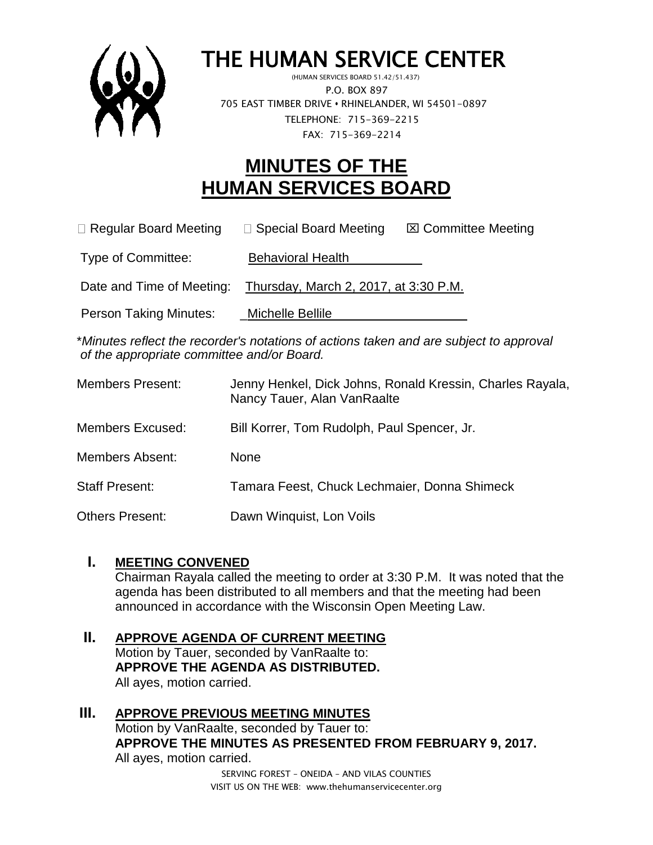

# THE HUMAN SERVICE CENTER

 (HUMAN SERVICES BOARD 51.42/51.437) P.O. BOX 897 705 EAST TIMBER DRIVE **•** RHINELANDER, WI 54501-0897 TELEPHONE: 715-369-2215 FAX: 715-369-2214

# **MINUTES OF THE HUMAN SERVICES BOARD**

 $\Box$  Regular Board Meeting  $\Box$  Special Board Meeting  $\Box$  Committee Meeting

Type of Committee: Behavioral Health

Date and Time of Meeting: Thursday, March 2, 2017, at 3:30 P.M.

Person Taking Minutes: \_\_\_\_Michelle Bellile

\**Minutes reflect the recorder's notations of actions taken and are subject to approval of the appropriate committee and/or Board.*

| <b>Members Present:</b> | Jenny Henkel, Dick Johns, Ronald Kressin, Charles Rayala,<br>Nancy Tauer, Alan VanRaalte |
|-------------------------|------------------------------------------------------------------------------------------|
| Members Excused:        | Bill Korrer, Tom Rudolph, Paul Spencer, Jr.                                              |
| <b>Members Absent:</b>  | <b>None</b>                                                                              |
| <b>Staff Present:</b>   | Tamara Feest, Chuck Lechmaier, Donna Shimeck                                             |
| <b>Others Present:</b>  | Dawn Winquist, Lon Voils                                                                 |

# **I. MEETING CONVENED**

Chairman Rayala called the meeting to order at 3:30 P.M. It was noted that the agenda has been distributed to all members and that the meeting had been announced in accordance with the Wisconsin Open Meeting Law.

#### **II. APPROVE AGENDA OF CURRENT MEETING** Motion by Tauer, seconded by VanRaalte to: **APPROVE THE AGENDA AS DISTRIBUTED.** All ayes, motion carried.

# **III. APPROVE PREVIOUS MEETING MINUTES**  Motion by VanRaalte, seconded by Tauer to: **APPROVE THE MINUTES AS PRESENTED FROM FEBRUARY 9, 2017.** All ayes, motion carried.

SERVING FOREST – ONEIDA – AND VILAS COUNTIES VISIT US ON THE WEB: www.thehumanservicecenter.org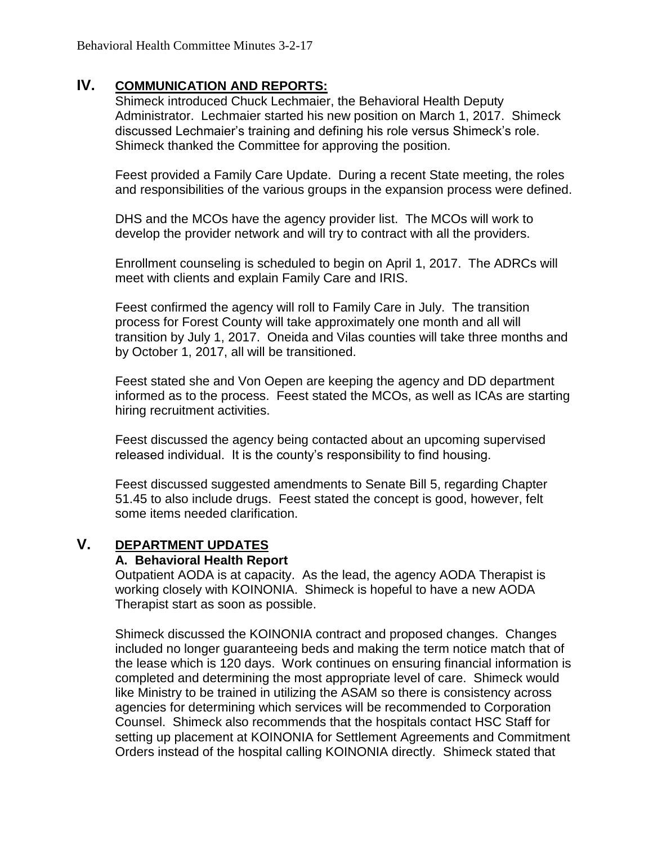# **IV. COMMUNICATION AND REPORTS:**

Shimeck introduced Chuck Lechmaier, the Behavioral Health Deputy Administrator. Lechmaier started his new position on March 1, 2017. Shimeck discussed Lechmaier's training and defining his role versus Shimeck's role. Shimeck thanked the Committee for approving the position.

Feest provided a Family Care Update. During a recent State meeting, the roles and responsibilities of the various groups in the expansion process were defined.

DHS and the MCOs have the agency provider list. The MCOs will work to develop the provider network and will try to contract with all the providers.

Enrollment counseling is scheduled to begin on April 1, 2017. The ADRCs will meet with clients and explain Family Care and IRIS.

Feest confirmed the agency will roll to Family Care in July. The transition process for Forest County will take approximately one month and all will transition by July 1, 2017. Oneida and Vilas counties will take three months and by October 1, 2017, all will be transitioned.

Feest stated she and Von Oepen are keeping the agency and DD department informed as to the process. Feest stated the MCOs, as well as ICAs are starting hiring recruitment activities.

Feest discussed the agency being contacted about an upcoming supervised released individual. It is the county's responsibility to find housing.

Feest discussed suggested amendments to Senate Bill 5, regarding Chapter 51.45 to also include drugs. Feest stated the concept is good, however, felt some items needed clarification.

# **V. DEPARTMENT UPDATES**

#### **A. Behavioral Health Report**

Outpatient AODA is at capacity. As the lead, the agency AODA Therapist is working closely with KOINONIA. Shimeck is hopeful to have a new AODA Therapist start as soon as possible.

Shimeck discussed the KOINONIA contract and proposed changes. Changes included no longer guaranteeing beds and making the term notice match that of the lease which is 120 days. Work continues on ensuring financial information is completed and determining the most appropriate level of care. Shimeck would like Ministry to be trained in utilizing the ASAM so there is consistency across agencies for determining which services will be recommended to Corporation Counsel. Shimeck also recommends that the hospitals contact HSC Staff for setting up placement at KOINONIA for Settlement Agreements and Commitment Orders instead of the hospital calling KOINONIA directly. Shimeck stated that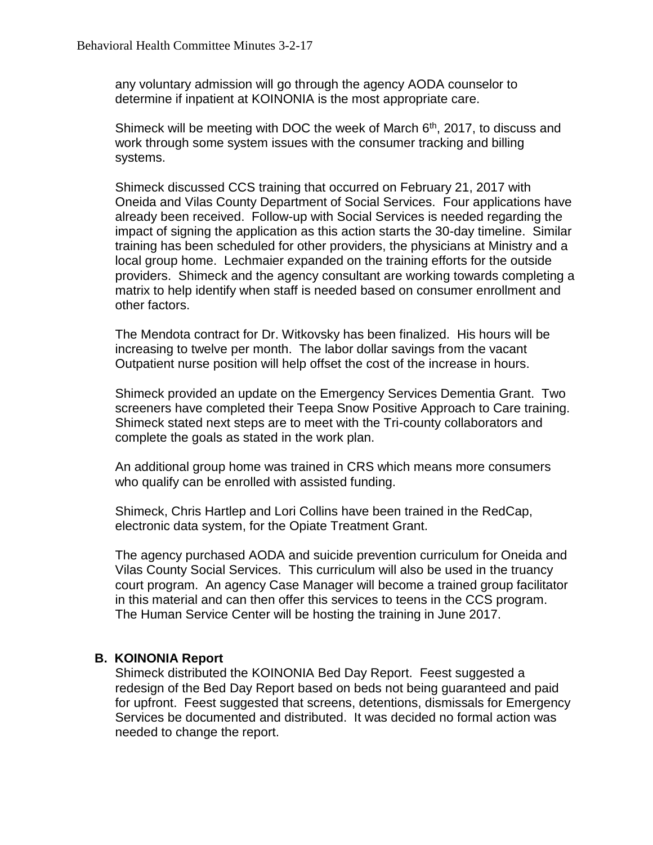any voluntary admission will go through the agency AODA counselor to determine if inpatient at KOINONIA is the most appropriate care.

Shimeck will be meeting with DOC the week of March  $6<sup>th</sup>$ , 2017, to discuss and work through some system issues with the consumer tracking and billing systems.

Shimeck discussed CCS training that occurred on February 21, 2017 with Oneida and Vilas County Department of Social Services. Four applications have already been received. Follow-up with Social Services is needed regarding the impact of signing the application as this action starts the 30-day timeline. Similar training has been scheduled for other providers, the physicians at Ministry and a local group home. Lechmaier expanded on the training efforts for the outside providers. Shimeck and the agency consultant are working towards completing a matrix to help identify when staff is needed based on consumer enrollment and other factors.

The Mendota contract for Dr. Witkovsky has been finalized. His hours will be increasing to twelve per month. The labor dollar savings from the vacant Outpatient nurse position will help offset the cost of the increase in hours.

Shimeck provided an update on the Emergency Services Dementia Grant. Two screeners have completed their Teepa Snow Positive Approach to Care training. Shimeck stated next steps are to meet with the Tri-county collaborators and complete the goals as stated in the work plan.

An additional group home was trained in CRS which means more consumers who qualify can be enrolled with assisted funding.

Shimeck, Chris Hartlep and Lori Collins have been trained in the RedCap, electronic data system, for the Opiate Treatment Grant.

The agency purchased AODA and suicide prevention curriculum for Oneida and Vilas County Social Services. This curriculum will also be used in the truancy court program. An agency Case Manager will become a trained group facilitator in this material and can then offer this services to teens in the CCS program. The Human Service Center will be hosting the training in June 2017.

#### **B. KOINONIA Report**

Shimeck distributed the KOINONIA Bed Day Report. Feest suggested a redesign of the Bed Day Report based on beds not being guaranteed and paid for upfront. Feest suggested that screens, detentions, dismissals for Emergency Services be documented and distributed. It was decided no formal action was needed to change the report.